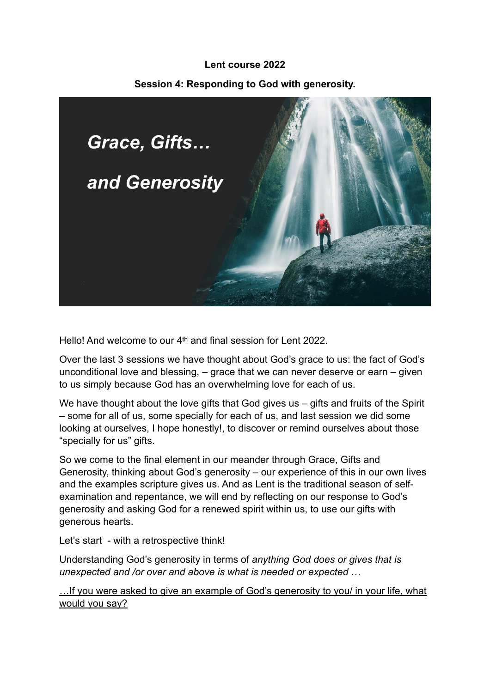#### **Lent course 2022**

### **Session 4: Responding to God with generosity.**



Hello! And welcome to our 4th and final session for Lent 2022.

Over the last 3 sessions we have thought about God's grace to us: the fact of God's unconditional love and blessing, – grace that we can never deserve or earn – given to us simply because God has an overwhelming love for each of us.

We have thought about the love gifts that God gives us – gifts and fruits of the Spirit – some for all of us, some specially for each of us, and last session we did some looking at ourselves, I hope honestly!, to discover or remind ourselves about those "specially for us" gifts.

So we come to the final element in our meander through Grace, Gifts and Generosity, thinking about God's generosity – our experience of this in our own lives and the examples scripture gives us. And as Lent is the traditional season of selfexamination and repentance, we will end by reflecting on our response to God's generosity and asking God for a renewed spirit within us, to use our gifts with generous hearts.

Let's start - with a retrospective think!

Understanding God's generosity in terms of *anything God does or gives that is unexpected and /or over and above is what is needed or expected* …

…If you were asked to give an example of God's generosity to you/ in your life, what would you say?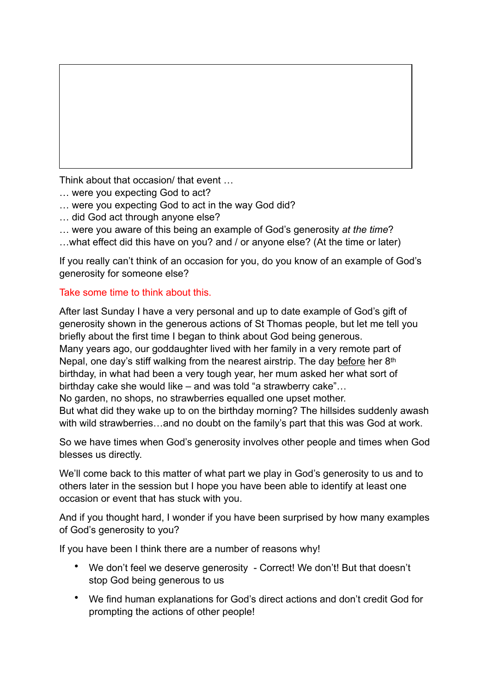Think about that occasion/ that event …

- … were you expecting God to act?
- … were you expecting God to act in the way God did?
- … did God act through anyone else?
- … were you aware of this being an example of God's generosity *at the time*?
- …what effect did this have on you? and / or anyone else? (At the time or later)

If you really can't think of an occasion for you, do you know of an example of God's generosity for someone else?

# Take some time to think about this.

After last Sunday I have a very personal and up to date example of God's gift of generosity shown in the generous actions of St Thomas people, but let me tell you briefly about the first time I began to think about God being generous. Many years ago, our goddaughter lived with her family in a very remote part of Nepal, one day's stiff walking from the nearest airstrip. The day before her 8th birthday, in what had been a very tough year, her mum asked her what sort of birthday cake she would like – and was told "a strawberry cake"…

No garden, no shops, no strawberries equalled one upset mother.

But what did they wake up to on the birthday morning? The hillsides suddenly awash with wild strawberries…and no doubt on the family's part that this was God at work.

So we have times when God's generosity involves other people and times when God blesses us directly.

We'll come back to this matter of what part we play in God's generosity to us and to others later in the session but I hope you have been able to identify at least one occasion or event that has stuck with you.

And if you thought hard, I wonder if you have been surprised by how many examples of God's generosity to you?

If you have been I think there are a number of reasons why!

- We don't feel we deserve generosity Correct! We don't! But that doesn't stop God being generous to us
- We find human explanations for God's direct actions and don't credit God for prompting the actions of other people!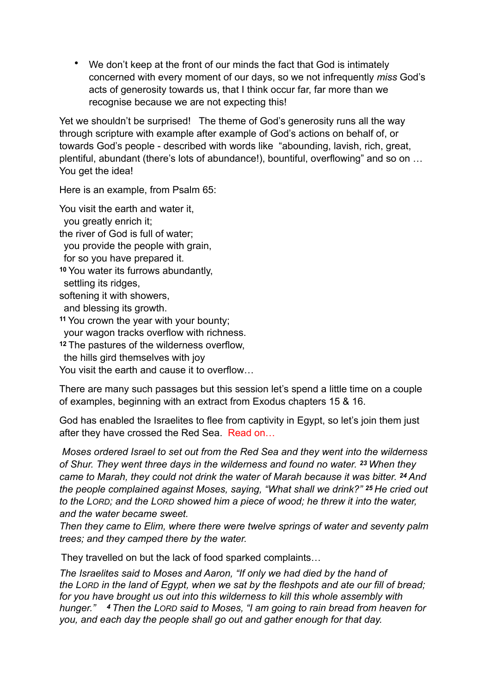• We don't keep at the front of our minds the fact that God is intimately concerned with every moment of our days, so we not infrequently *miss* God's acts of generosity towards us, that I think occur far, far more than we recognise because we are not expecting this!

Yet we shouldn't be surprised! The theme of God's generosity runs all the way through scripture with example after example of God's actions on behalf of, or towards God's people - described with words like "abounding, lavish, rich, great, plentiful, abundant (there's lots of abundance!), bountiful, overflowing" and so on … You get the idea!

Here is an example, from Psalm 65:

You visit the earth and water it, you greatly enrich it; the river of God is full of water; you provide the people with grain, for so you have prepared it. **<sup>10</sup>**You water its furrows abundantly, settling its ridges, softening it with showers, and blessing its growth. **<sup>11</sup>**You crown the year with your bounty; your wagon tracks overflow with richness. **<sup>12</sup>**The pastures of the wilderness overflow, the hills gird themselves with joy You visit the earth and cause it to overflow…

There are many such passages but this session let's spend a little time on a couple of examples, beginning with an extract from Exodus chapters 15 & 16.

God has enabled the Israelites to flee from captivity in Egypt, so let's join them just after they have crossed the Red Sea. Read on…

*Moses ordered Israel to set out from the Red Sea and they went into the wilderness of Shur. They went three days in the wilderness and found no water. 23 When they came to Marah, they could not drink the water of Marah because it was bitter. 24 And the people complained against Moses, saying, "What shall we drink?" 25 He cried out to the LORD; and the LORD showed him a piece of wood; he threw it into the water, and the water became sweet.* 

*Then they came to Elim, where there were twelve springs of water and seventy palm trees; and they camped there by the water.*

They travelled on but the lack of food sparked complaints…

*The Israelites said to Moses and Aaron, "If only we had died by the hand of the LORD in the land of Egypt, when we sat by the fleshpots and ate our fill of bread; for you have brought us out into this wilderness to kill this whole assembly with hunger." 4 Then the LORD said to Moses, "I am going to rain bread from heaven for you, and each day the people shall go out and gather enough for that day.*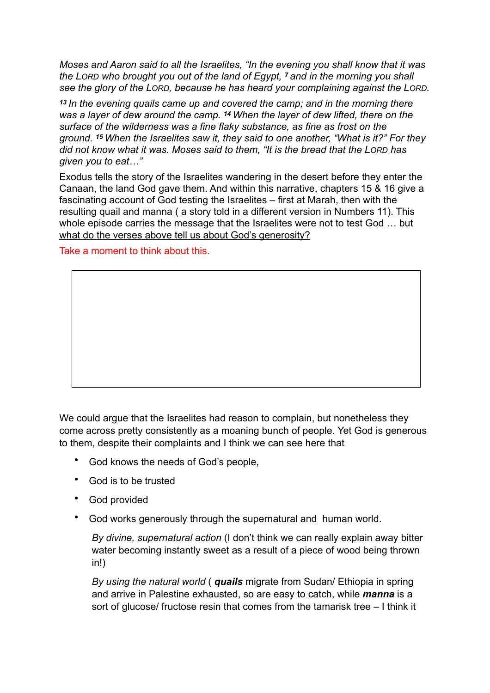*Moses and Aaron said to all the Israelites, "In the evening you shall know that it was the LORD who brought you out of the land of Egypt, 7 and in the morning you shall see the glory of the LORD, because he has heard your complaining against the LORD.*

*<sup>13</sup>In the evening quails came up and covered the camp; and in the morning there was a layer of dew around the camp. 14 When the layer of dew lifted, there on the surface of the wilderness was a fine flaky substance, as fine as frost on the ground. 15 When the Israelites saw it, they said to one another, "What is it?" For they did not know what it was. Moses said to them, "It is the bread that the LORD has given you to eat…"* 

Exodus tells the story of the Israelites wandering in the desert before they enter the Canaan, the land God gave them. And within this narrative, chapters 15 & 16 give a fascinating account of God testing the Israelites – first at Marah, then with the resulting quail and manna ( a story told in a different version in Numbers 11). This whole episode carries the message that the Israelites were not to test God … but what do the verses above tell us about God's generosity?

# Take a moment to think about this.

We could argue that the Israelites had reason to complain, but nonetheless they come across pretty consistently as a moaning bunch of people. Yet God is generous to them, despite their complaints and I think we can see here that

- God knows the needs of God's people,
- God is to be trusted
- God provided
- God works generously through the supernatural and human world.

*By divine, supernatural action* (I don't think we can really explain away bitter water becoming instantly sweet as a result of a piece of wood being thrown in!)

*By using the natural world* ( *quails* migrate from Sudan/ Ethiopia in spring and arrive in Palestine exhausted, so are easy to catch, while *manna* is a sort of glucose/ fructose resin that comes from the tamarisk tree – I think it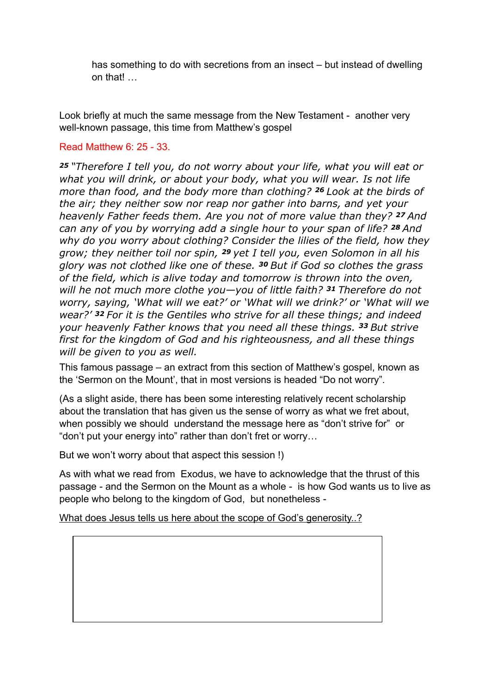has something to do with secretions from an insect – but instead of dwelling on that! …

Look briefly at much the same message from the New Testament - another very well-known passage, this time from Matthew's gospel

### Read Matthew 6: 25 - 33.

*<sup>25</sup>"Therefore I tell you, do not worry about your life, what you will eat or what you will drink, or about your body, what you will wear. Is not life more than food, and the body more than clothing? 26 Look at the birds of the air; they neither sow nor reap nor gather into barns, and yet your heavenly Father feeds them. Are you not of more value than they? 27 And can any of you by worrying add a single hour to your span of life? 28 And why do you worry about clothing? Consider the lilies of the field, how they grow; they neither toil nor spin, 29 yet I tell you, even Solomon in all his glory was not clothed like one of these. 30 But if God so clothes the grass of the field, which is alive today and tomorrow is thrown into the oven, will he not much more clothe you—you of little faith? 31 Therefore do not worry, saying, 'What will we eat?' or 'What will we drink?' or 'What will we wear?' 32 For it is the Gentiles who strive for all these things; and indeed your heavenly Father knows that you need all these things. 33 But strive first for the kingdom of God and his righteousness, and all these things will be given to you as well.*

This famous passage – an extract from this section of Matthew's gospel, known as the 'Sermon on the Mount', that in most versions is headed "Do not worry".

(As a slight aside, there has been some interesting relatively recent scholarship about the translation that has given us the sense of worry as what we fret about, when possibly we should understand the message here as "don't strive for" or "don't put your energy into" rather than don't fret or worry…

But we won't worry about that aspect this session !)

As with what we read from Exodus, we have to acknowledge that the thrust of this passage - and the Sermon on the Mount as a whole - is how God wants us to live as people who belong to the kingdom of God, but nonetheless -

What does Jesus tells us here about the scope of God's generosity..?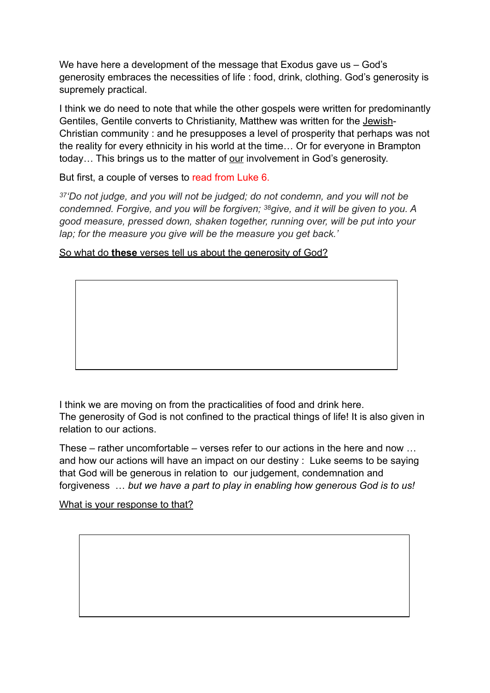We have here a development of the message that Exodus gave us – God's generosity embraces the necessities of life : food, drink, clothing. God's generosity is supremely practical.

I think we do need to note that while the other gospels were written for predominantly Gentiles, Gentile converts to Christianity, Matthew was written for the Jewish-Christian community : and he presupposes a level of prosperity that perhaps was not the reality for every ethnicity in his world at the time… Or for everyone in Brampton today… This brings us to the matter of our involvement in God's generosity.

But first, a couple of verses to read from Luke 6.

*37'Do not judge, and you will not be judged; do not condemn, and you will not be condemned. Forgive, and you will be forgiven; 38give, and it will be given to you. A good measure, pressed down, shaken together, running over, will be put into your lap; for the measure you give will be the measure you get back.'*

# So what do **these** verses tell us about the generosity of God?

I think we are moving on from the practicalities of food and drink here. The generosity of God is not confined to the practical things of life! It is also given in relation to our actions.

These – rather uncomfortable – verses refer to our actions in the here and now … and how our actions will have an impact on our destiny : Luke seems to be saying that God will be generous in relation to our judgement, condemnation and forgiveness … *but we have a part to play in enabling how generous God is to us!* 

What is your response to that?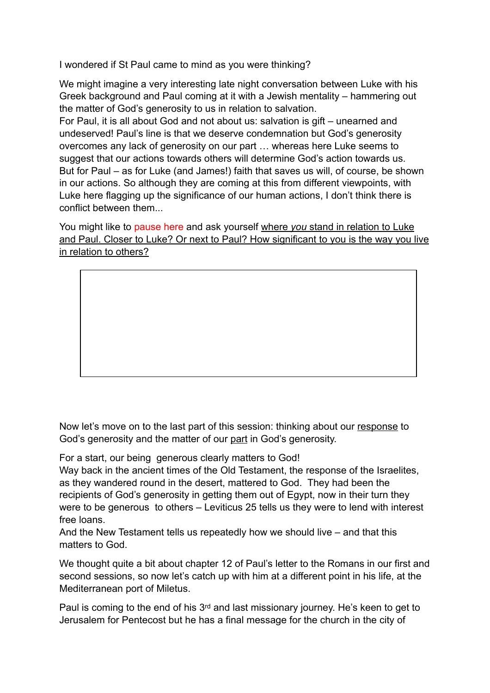I wondered if St Paul came to mind as you were thinking?

We might imagine a very interesting late night conversation between Luke with his Greek background and Paul coming at it with a Jewish mentality – hammering out the matter of God's generosity to us in relation to salvation.

For Paul, it is all about God and not about us: salvation is gift – unearned and undeserved! Paul's line is that we deserve condemnation but God's generosity overcomes any lack of generosity on our part … whereas here Luke seems to suggest that our actions towards others will determine God's action towards us. But for Paul – as for Luke (and James!) faith that saves us will, of course, be shown in our actions. So although they are coming at this from different viewpoints, with Luke here flagging up the significance of our human actions, I don't think there is conflict between them...

You might like to pause here and ask yourself where *you* stand in relation to Luke and Paul. Closer to Luke? Or next to Paul? How significant to you is the way you live in relation to others?

Now let's move on to the last part of this session: thinking about our response to God's generosity and the matter of our part in God's generosity.

For a start, our being generous clearly matters to God!

Way back in the ancient times of the Old Testament, the response of the Israelites, as they wandered round in the desert, mattered to God. They had been the recipients of God's generosity in getting them out of Egypt, now in their turn they were to be generous to others – Leviticus 25 tells us they were to lend with interest free loans.

And the New Testament tells us repeatedly how we should live – and that this matters to God.

We thought quite a bit about chapter 12 of Paul's letter to the Romans in our first and second sessions, so now let's catch up with him at a different point in his life, at the Mediterranean port of Miletus.

Paul is coming to the end of his 3rd and last missionary journey. He's keen to get to Jerusalem for Pentecost but he has a final message for the church in the city of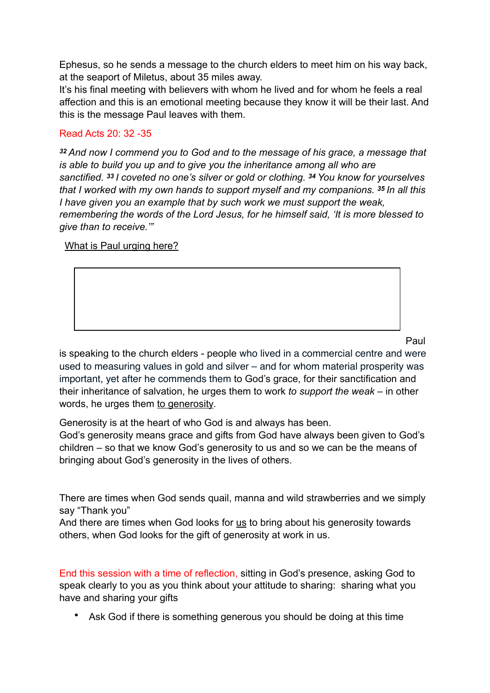Ephesus, so he sends a message to the church elders to meet him on his way back, at the seaport of Miletus, about 35 miles away.

It's his final meeting with believers with whom he lived and for whom he feels a real affection and this is an emotional meeting because they know it will be their last. And this is the message Paul leaves with them.

# Read Acts 20: 32 -35

*<sup>32</sup>And now I commend you to God and to the message of his grace, a message that is able to build you up and to give you the inheritance among all who are sanctified. 33 I coveted no one's silver or gold or clothing. 34 You know for yourselves that I worked with my own hands to support myself and my companions. 35 In all this I have given you an example that by such work we must support the weak, remembering the words of the Lord Jesus, for he himself said, 'It is more blessed to give than to receive.'"*

#### What is Paul urging here?

Paul

is speaking to the church elders - people who lived in a commercial centre and were used to measuring values in gold and silver – and for whom material prosperity was important, yet after he commends them to God's grace, for their sanctification and their inheritance of salvation, he urges them to work *to support the weak* – in other words, he urges them to generosity*.* 

Generosity is at the heart of who God is and always has been.

God's generosity means grace and gifts from God have always been given to God's children – so that we know God's generosity to us and so we can be the means of bringing about God's generosity in the lives of others.

There are times when God sends quail, manna and wild strawberries and we simply say "Thank you"

And there are times when God looks for us to bring about his generosity towards others, when God looks for the gift of generosity at work in us.

End this session with a time of reflection, sitting in God's presence, asking God to speak clearly to you as you think about your attitude to sharing: sharing what you have and sharing your gifts

• Ask God if there is something generous you should be doing at this time